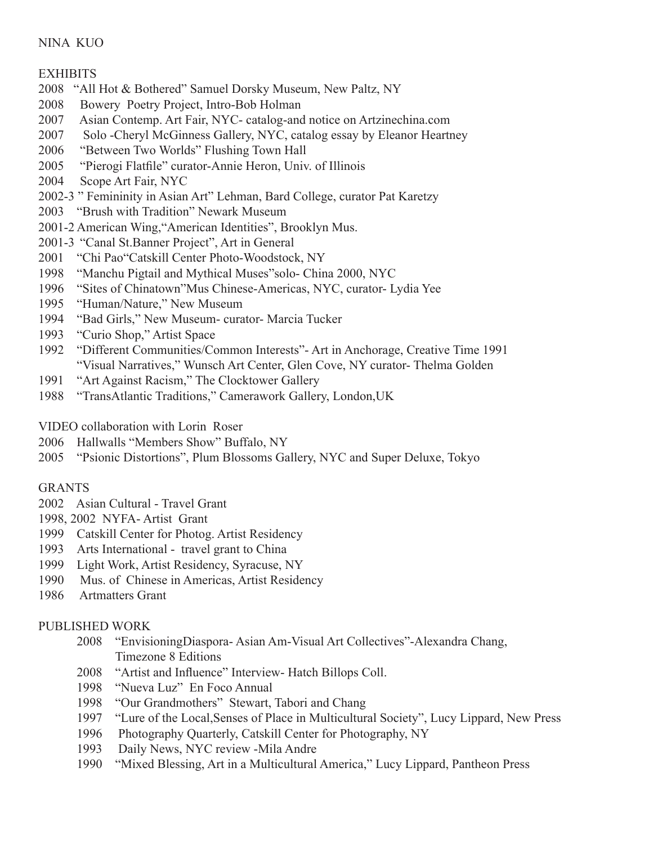## NINA KUO

## **EXHIBITS**

- 2008 "All Hot & Bothered" Samuel Dorsky Museum, New Paltz, NY
- 2008 Bowery Poetry Project, Intro-Bob Holman
- 2007 Asian Contemp. Art Fair, NYC- catalog-and notice on Artzinechina.com
- 2007 Solo -Cheryl McGinness Gallery, NYC, catalog essay by Eleanor Heartney
- 2006 "Between Two Worlds" Flushing Town Hall
- 2005 "Pierogi Flatfile" curator-Annie Heron, Univ. of Illinois
- 2004 Scope Art Fair, NYC
- 2002-3 " Femininity in Asian Art" Lehman, Bard College, curator Pat Karetzy
- 2003 "Brush with Tradition" Newark Museum
- 2001-2 American Wing,"American Identities", Brooklyn Mus.
- 2001-3 "Canal St.Banner Project", Art in General
- 2001 "Chi Pao"Catskill Center Photo-Woodstock, NY
- 1998 "Manchu Pigtail and Mythical Muses"solo- China 2000, NYC
- 1996 "Sites of Chinatown"Mus Chinese-Americas, NYC, curator- Lydia Yee
- 1995 "Human/Nature," New Museum
- 1994 "Bad Girls," New Museum- curator- Marcia Tucker
- 1993 "Curio Shop," Artist Space
- 1992 "Different Communities/Common Interests"- Art in Anchorage, Creative Time 1991 "Visual Narratives," Wunsch Art Center, Glen Cove, NY curator- Thelma Golden
- 1991 "Art Against Racism," The Clocktower Gallery
- 1988 "TransAtlantic Traditions," Camerawork Gallery, London,UK
- VIDEO collaboration with Lorin Roser
- 2006 Hallwalls "Members Show" Buffalo, NY
- 2005 "Psionic Distortions", Plum Blossoms Gallery, NYC and Super Deluxe, Tokyo

### GRANTS

- 2002 Asian Cultural Travel Grant
- 1998, 2002 NYFA- Artist Grant
- 1999 Catskill Center for Photog. Artist Residency
- 1993 Arts International travel grant to China
- 1999 Light Work, Artist Residency, Syracuse, NY
- 1990 Mus. of Chinese in Americas, Artist Residency
- 1986 Artmatters Grant

#### PUBLISHED WORK

- 2008 "EnvisioningDiaspora- Asian Am-Visual Art Collectives"-Alexandra Chang, Timezone 8 Editions
- 2008 "Artist and Influence" Interview- Hatch Billops Coll.
- 1998 "Nueva Luz" En Foco Annual
- 1998 "Our Grandmothers" Stewart, Tabori and Chang
- 1997 "Lure of the Local,Senses of Place in Multicultural Society", Lucy Lippard, New Press
- 1996 Photography Quarterly, Catskill Center for Photography, NY
- 1993 Daily News, NYC review -Mila Andre
- 1990 "Mixed Blessing, Art in a Multicultural America," Lucy Lippard, Pantheon Press